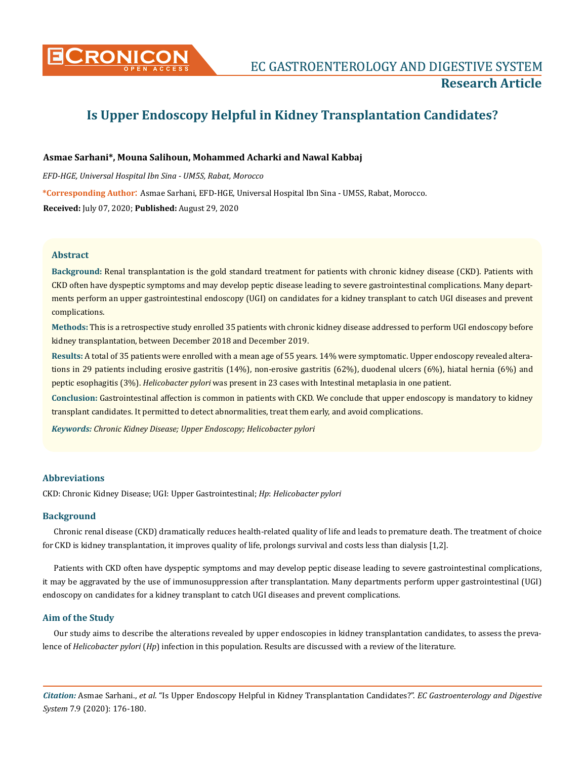

# **Is Upper Endoscopy Helpful in Kidney Transplantation Candidates?**

# **Asmae Sarhani\*, Mouna Salihoun, Mohammed Acharki and Nawal Kabbaj**

*EFD-HGE, Universal Hospital Ibn Sina - UM5S, Rabat, Morocco* **\*Corresponding Author**: Asmae Sarhani, EFD-HGE, Universal Hospital Ibn Sina - UM5S, Rabat, Morocco. **Received:** July 07, 2020; **Published:** August 29, 2020

# **Abstract**

**Background:** Renal transplantation is the gold standard treatment for patients with chronic kidney disease (CKD). Patients with CKD often have dyspeptic symptoms and may develop peptic disease leading to severe gastrointestinal complications. Many departments perform an upper gastrointestinal endoscopy (UGI) on candidates for a kidney transplant to catch UGI diseases and prevent complications.

**Methods:** This is a retrospective study enrolled 35 patients with chronic kidney disease addressed to perform UGI endoscopy before kidney transplantation, between December 2018 and December 2019.

**Results:** A total of 35 patients were enrolled with a mean age of 55 years. 14% were symptomatic. Upper endoscopy revealed alterations in 29 patients including erosive gastritis (14%), non-erosive gastritis (62%), duodenal ulcers (6%), hiatal hernia (6%) and peptic esophagitis (3%). *Helicobacter pylori* was present in 23 cases with Intestinal metaplasia in one patient.

**Conclusion:** Gastrointestinal affection is common in patients with CKD. We conclude that upper endoscopy is mandatory to kidney transplant candidates. It permitted to detect abnormalities, treat them early, and avoid complications.

*Keywords: Chronic Kidney Disease; Upper Endoscopy; Helicobacter pylori*

# **Abbreviations**

CKD: Chronic Kidney Disease; UGI: Upper Gastrointestinal; *Hp*: *Helicobacter pylori*

# **Background**

Chronic renal disease (CKD) dramatically reduces health-related quality of life and leads to premature death. The treatment of choice for CKD is kidney transplantation, it improves quality of life, prolongs survival and costs less than dialysis [1,2].

Patients with CKD often have dyspeptic symptoms and may develop peptic disease leading to severe gastrointestinal complications, it may be aggravated by the use of immunosuppression after transplantation. Many departments perform upper gastrointestinal (UGI) endoscopy on candidates for a kidney transplant to catch UGI diseases and prevent complications.

## **Aim of the Study**

Our study aims to describe the alterations revealed by upper endoscopies in kidney transplantation candidates, to assess the prevalence of *Helicobacter pylori* (*Hp*) infection in this population. Results are discussed with a review of the literature.

*Citation:* Asmae Sarhani., *et al*. "Is Upper Endoscopy Helpful in Kidney Transplantation Candidates?". *EC Gastroenterology and Digestive System* 7.9 (2020): 176-180.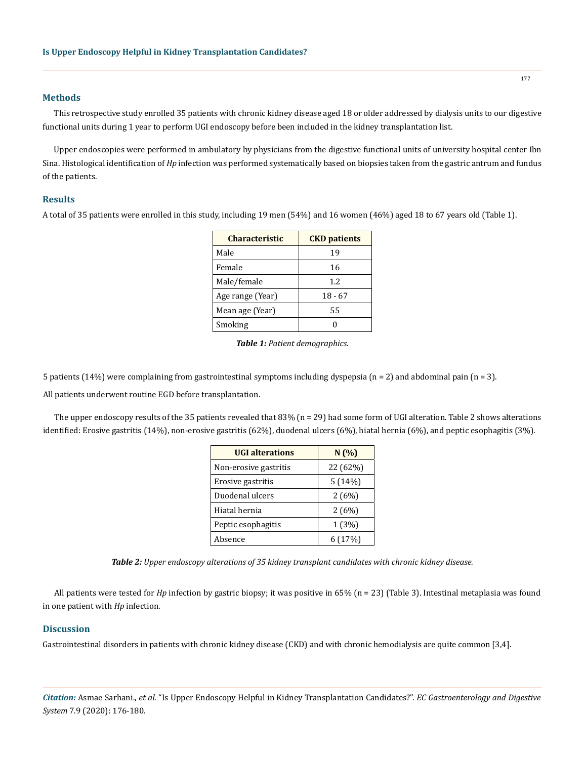#### **Methods**

This retrospective study enrolled 35 patients with chronic kidney disease aged 18 or older addressed by dialysis units to our digestive functional units during 1 year to perform UGI endoscopy before been included in the kidney transplantation list.

Upper endoscopies were performed in ambulatory by physicians from the digestive functional units of university hospital center Ibn Sina. Histological identification of *Hp* infection was performed systematically based on biopsies taken from the gastric antrum and fundus of the patients.

## **Results**

A total of 35 patients were enrolled in this study, including 19 men (54%) and 16 women (46%) aged 18 to 67 years old (Table 1).

| Characteristic   | <b>CKD</b> patients |  |
|------------------|---------------------|--|
| Male             | 19                  |  |
| Female           | 16                  |  |
| Male/female      | 12                  |  |
| Age range (Year) | $18 - 67$           |  |
| Mean age (Year)  | 55                  |  |
| Smoking          |                     |  |

|  |  | Table 1: Patient demographics. |  |
|--|--|--------------------------------|--|
|--|--|--------------------------------|--|

5 patients (14%) were complaining from gastrointestinal symptoms including dyspepsia ( $n = 2$ ) and abdominal pain ( $n = 3$ ).

All patients underwent routine EGD before transplantation.

The upper endoscopy results of the 35 patients revealed that 83% (n = 29) had some form of UGI alteration. Table 2 shows alterations identified: Erosive gastritis (14%), non-erosive gastritis (62%), duodenal ulcers (6%), hiatal hernia (6%), and peptic esophagitis (3%).

| <b>UGI</b> alterations | N(%      |
|------------------------|----------|
| Non-erosive gastritis  | 22 (62%) |
| Erosive gastritis      | 5(14%)   |
| Duodenal ulcers        | 2(6%)    |
| Hiatal hernia          | 2(6%)    |
| Peptic esophagitis     | 1 (3%)   |
| Absence                | 6(17%)   |

*Table 2: Upper endoscopy alterations of 35 kidney transplant candidates with chronic kidney disease.*

All patients were tested for *Hp* infection by gastric biopsy; it was positive in 65% (n = 23) (Table 3). Intestinal metaplasia was found in one patient with *Hp* infection.

## **Discussion**

Gastrointestinal disorders in patients with chronic kidney disease (CKD) and with chronic hemodialysis are quite common [3,4].

*Citation:* Asmae Sarhani., *et al*. "Is Upper Endoscopy Helpful in Kidney Transplantation Candidates?". *EC Gastroenterology and Digestive System* 7.9 (2020): 176-180.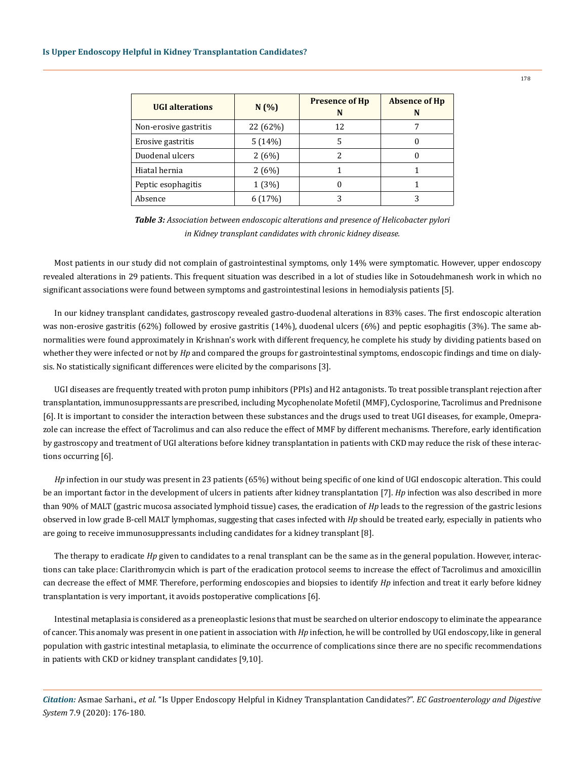| <b>UGI</b> alterations | N(%)     | <b>Presence of Hp</b><br>N | <b>Absence of Hp</b><br>N |
|------------------------|----------|----------------------------|---------------------------|
| Non-erosive gastritis  | 22 (62%) | 12                         | 7                         |
| Erosive gastritis      | 5(14%)   |                            |                           |
| Duodenal ulcers        | 2(6%)    | 2                          |                           |
| Hiatal hernia          | 2(6%)    |                            |                           |
| Peptic esophagitis     | 1(3%)    |                            |                           |
| Absence                |          |                            |                           |

*Table 3: Association between endoscopic alterations and presence of Helicobacter pylori in Kidney transplant candidates with chronic kidney disease.*

Most patients in our study did not complain of gastrointestinal symptoms, only 14% were symptomatic. However, upper endoscopy revealed alterations in 29 patients. This frequent situation was described in a lot of studies like in Sotoudehmanesh work in which no significant associations were found between symptoms and gastrointestinal lesions in hemodialysis patients [5].

In our kidney transplant candidates, gastroscopy revealed gastro-duodenal alterations in 83% cases. The first endoscopic alteration was non-erosive gastritis (62%) followed by erosive gastritis (14%), duodenal ulcers (6%) and peptic esophagitis (3%). The same abnormalities were found approximately in Krishnan's work with different frequency, he complete his study by dividing patients based on whether they were infected or not by *Hp* and compared the groups for gastrointestinal symptoms, endoscopic findings and time on dialysis. No statistically significant differences were elicited by the comparisons [3].

UGI diseases are frequently treated with proton pump inhibitors (PPIs) and H2 antagonists. To treat possible transplant rejection after transplantation, immunosuppressants are prescribed, including Mycophenolate Mofetil (MMF), Cyclosporine, Tacrolimus and Prednisone [6]. It is important to consider the interaction between these substances and the drugs used to treat UGI diseases, for example, Omeprazole can increase the effect of Tacrolimus and can also reduce the effect of MMF by different mechanisms. Therefore, early identification by gastroscopy and treatment of UGI alterations before kidney transplantation in patients with CKD may reduce the risk of these interactions occurring [6].

*Hp* infection in our study was present in 23 patients (65%) without being specific of one kind of UGI endoscopic alteration. This could be an important factor in the development of ulcers in patients after kidney transplantation [7]. *Hp* infection was also described in more than 90% of MALT (gastric mucosa associated lymphoid tissue) cases, the eradication of *Hp* leads to the regression of the gastric lesions observed in low grade B-cell MALT lymphomas, suggesting that cases infected with *Hp* should be treated early, especially in patients who are going to receive immunosuppressants including candidates for a kidney transplant [8].

The therapy to eradicate *Hp* given to candidates to a renal transplant can be the same as in the general population. However, interactions can take place: Clarithromycin which is part of the eradication protocol seems to increase the effect of Tacrolimus and amoxicillin can decrease the effect of MMF. Therefore, performing endoscopies and biopsies to identify *Hp* infection and treat it early before kidney transplantation is very important, it avoids postoperative complications [6].

Intestinal metaplasia is considered as a preneoplastic lesions that must be searched on ulterior endoscopy to eliminate the appearance of cancer. This anomaly was present in one patient in association with *Hp* infection, he will be controlled by UGI endoscopy, like in general population with gastric intestinal metaplasia, to eliminate the occurrence of complications since there are no specific recommendations in patients with CKD or kidney transplant candidates [9,10].

*Citation:* Asmae Sarhani., *et al*. "Is Upper Endoscopy Helpful in Kidney Transplantation Candidates?". *EC Gastroenterology and Digestive System* 7.9 (2020): 176-180.

178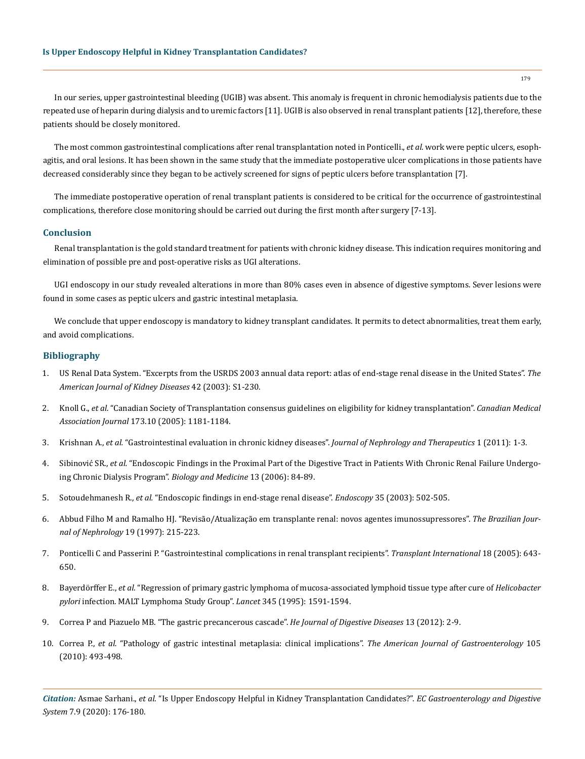In our series, upper gastrointestinal bleeding (UGIB) was absent. This anomaly is frequent in chronic hemodialysis patients due to the repeated use of heparin during dialysis and to uremic factors [11]. UGIB is also observed in renal transplant patients [12], therefore, these patients should be closely monitored.

The most common gastrointestinal complications after renal transplantation noted in Ponticelli., *et al*. work were peptic ulcers, esophagitis, and oral lesions. It has been shown in the same study that the immediate postoperative ulcer complications in those patients have decreased considerably since they began to be actively screened for signs of peptic ulcers before transplantation [7].

The immediate postoperative operation of renal transplant patients is considered to be critical for the occurrence of gastrointestinal complications, therefore close monitoring should be carried out during the first month after surgery [7-13].

#### **Conclusion**

Renal transplantation is the gold standard treatment for patients with chronic kidney disease. This indication requires monitoring and elimination of possible pre and post-operative risks as UGI alterations.

UGI endoscopy in our study revealed alterations in more than 80% cases even in absence of digestive symptoms. Sever lesions were found in some cases as peptic ulcers and gastric intestinal metaplasia.

We conclude that upper endoscopy is mandatory to kidney transplant candidates. It permits to detect abnormalities, treat them early, and avoid complications.

## **Bibliography**

- 1. [US Renal Data System. "Excerpts from the USRDS 2003 annual data report: atlas of end-stage renal disease in the United States".](https://www.ajkd.org/article/S0272-6386(03)01207-1/fulltext) *The [American Journal of Kidney Diseases](https://www.ajkd.org/article/S0272-6386(03)01207-1/fulltext)* 42 (2003): S1-230.
- 2. Knoll G., *et al.* ["Canadian Society of Transplantation consensus guidelines on eligibility for kidney transplantation".](https://www.ncbi.nlm.nih.gov/pmc/articles/PMC1277045/) *Canadian Medical Association Journal* [173.10 \(2005\): 1181-1184.](https://www.ncbi.nlm.nih.gov/pmc/articles/PMC1277045/)
- 3. Krishnan A., *et al.* ["Gastrointestinal evaluation in chronic kidney diseases".](https://www.hilarispublisher.com/open-access/gastrointestinal-evaluation-in-chronic-kidney-diseases-2161-0959.1000110.pdf) *Journal of Nephrology and Therapeutics* 1 (2011): 1-3.
- 4. Sibinović SR., *et al.* ["Endoscopic Findings in the Proximal Part of the Digestive Tract in Patients With Chronic Renal Failure Undergo](https://www.semanticscholar.org/paper/ENDOSCOPIC-FINDINGS-IN-THE-PROXIMAL-PART-OF-THE-IN-Nagorni/1c39ddba40ebed8644db8eaa0af27cb1584c8925)[ing Chronic Dialysis Program".](https://www.semanticscholar.org/paper/ENDOSCOPIC-FINDINGS-IN-THE-PROXIMAL-PART-OF-THE-IN-Nagorni/1c39ddba40ebed8644db8eaa0af27cb1584c8925) *Biology and Medicine* 13 (2006): 84-89.
- 5. Sotoudehmanesh R., *et al.* ["Endoscopic findings in end-stage renal disease".](https://www.researchgate.net/publication/7104850_Endoscopic_Findings_in_End-Stage_Renal_Disease) *Endoscopy* 35 (2003): 502-505.
- 6. Abbud Filho M and Ramalho HJ. "Revisão/Atualização em transplante renal: novos agentes imunossupressores". *The Brazilian Journal of Nephrology* 19 (1997): 215-223.
- 7. [Ponticelli C and Passerini P. "Gastrointestinal complications in renal transplant recipients".](https://onlinelibrary.wiley.com/doi/pdf/10.1111/j.1432-2277.2005.00134.x) *Transplant International* 18 (2005): 643- [650.](https://onlinelibrary.wiley.com/doi/pdf/10.1111/j.1432-2277.2005.00134.x)
- 8. Bayerdörffer E., *et al.* ["Regression of primary gastric lymphoma of mucosa-associated lymphoid tissue type after cure of](https://pubmed.ncbi.nlm.nih.gov/7783535/) *Helicobacter pylori* [infection. MALT Lymphoma Study Group".](https://pubmed.ncbi.nlm.nih.gov/7783535/) *Lancet* 345 (1995): 1591-1594.
- 9. [Correa P and Piazuelo MB. "The gastric precancerous cascade".](https://pubmed.ncbi.nlm.nih.gov/22188910/) *He Journal of Digestive Diseases* 13 (2012): 2-9.
- 10. Correa P., *et al.* ["Pathology of gastric intestinal metaplasia: clinical implications".](https://www.ncbi.nlm.nih.gov/pmc/articles/PMC2895407/) *The American Journal of Gastroenterology* 105 [\(2010\): 493-498](https://www.ncbi.nlm.nih.gov/pmc/articles/PMC2895407/).

*Citation:* Asmae Sarhani., *et al*. "Is Upper Endoscopy Helpful in Kidney Transplantation Candidates?". *EC Gastroenterology and Digestive System* 7.9 (2020): 176-180.

179